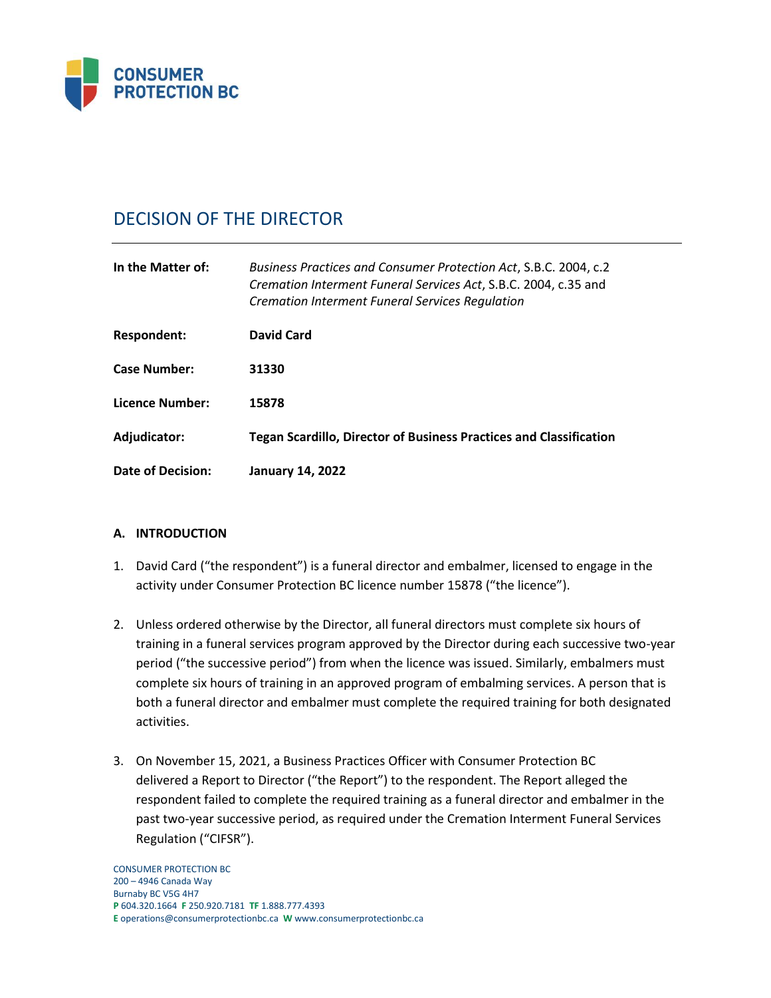

# DECISION OF THE DIRECTOR

| In the Matter of:   | Business Practices and Consumer Protection Act, S.B.C. 2004, c.2<br>Cremation Interment Funeral Services Act, S.B.C. 2004, c.35 and<br><b>Cremation Interment Funeral Services Regulation</b> |
|---------------------|-----------------------------------------------------------------------------------------------------------------------------------------------------------------------------------------------|
| Respondent:         | David Card                                                                                                                                                                                    |
| <b>Case Number:</b> | 31330                                                                                                                                                                                         |
| Licence Number:     | 15878                                                                                                                                                                                         |
| Adjudicator:        | <b>Tegan Scardillo, Director of Business Practices and Classification</b>                                                                                                                     |
| Date of Decision:   | <b>January 14, 2022</b>                                                                                                                                                                       |

## **A. INTRODUCTION**

- 1. David Card ("the respondent") is a funeral director and embalmer, licensed to engage in the activity under Consumer Protection BC licence number 15878 ("the licence").
- 2. Unless ordered otherwise by the Director, all funeral directors must complete six hours of training in a funeral services program approved by the Director during each successive two-year period ("the successive period") from when the licence was issued. Similarly, embalmers must complete six hours of training in an approved program of embalming services. A person that is both a funeral director and embalmer must complete the required training for both designated activities.
- 3. On November 15, 2021, a Business Practices Officer with Consumer Protection BC delivered a Report to Director ("the Report") to the respondent. The Report alleged the respondent failed to complete the required training as a funeral director and embalmer in the past two-year successive period, as required under the Cremation Interment Funeral Services Regulation ("CIFSR").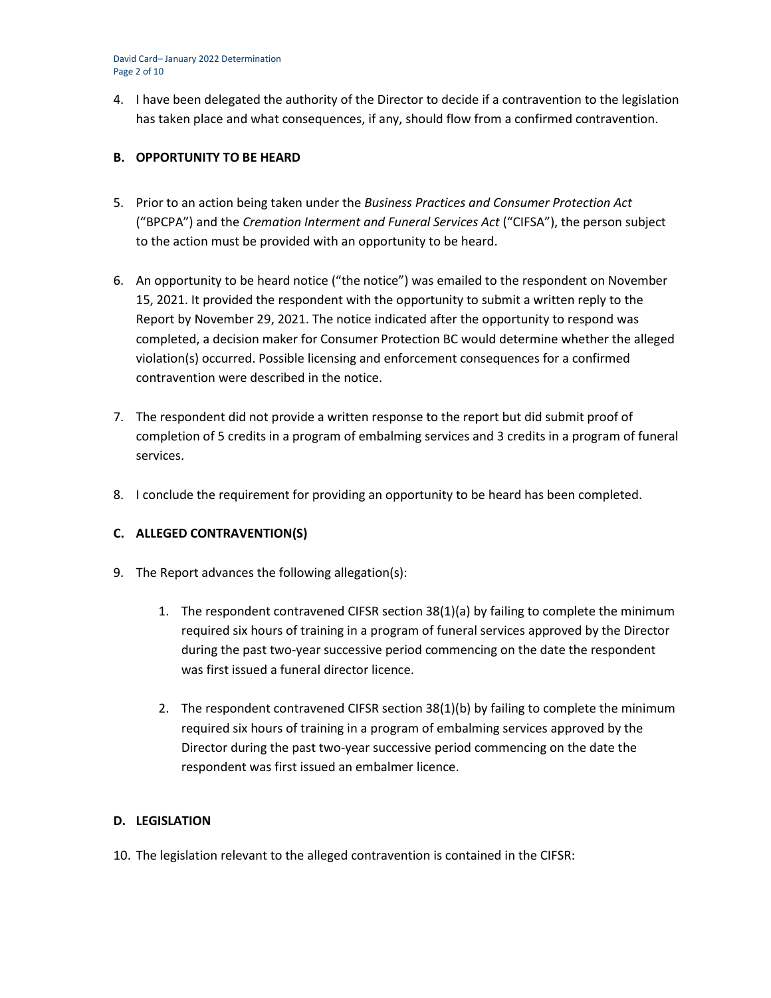David Card– January 2022 Determination Page 2 of 10

4. I have been delegated the authority of the Director to decide if a contravention to the legislation has taken place and what consequences, if any, should flow from a confirmed contravention.

#### **B. OPPORTUNITY TO BE HEARD**

- 5. Prior to an action being taken under the *Business Practices and Consumer Protection Act* ("BPCPA") and the *Cremation Interment and Funeral Services Act* ("CIFSA"), the person subject to the action must be provided with an opportunity to be heard.
- 6. An opportunity to be heard notice ("the notice") was emailed to the respondent on November 15, 2021. It provided the respondent with the opportunity to submit a written reply to the Report by November 29, 2021. The notice indicated after the opportunity to respond was completed, a decision maker for Consumer Protection BC would determine whether the alleged violation(s) occurred. Possible licensing and enforcement consequences for a confirmed contravention were described in the notice.
- 7. The respondent did not provide a written response to the report but did submit proof of completion of 5 credits in a program of embalming services and 3 credits in a program of funeral services.
- 8. I conclude the requirement for providing an opportunity to be heard has been completed.

#### **C. ALLEGED CONTRAVENTION(S)**

- 9. The Report advances the following allegation(s):
	- 1. The respondent contravened CIFSR section 38(1)(a) by failing to complete the minimum required six hours of training in a program of funeral services approved by the Director during the past two-year successive period commencing on the date the respondent was first issued a funeral director licence.
	- 2. The respondent contravened CIFSR section 38(1)(b) by failing to complete the minimum required six hours of training in a program of embalming services approved by the Director during the past two-year successive period commencing on the date the respondent was first issued an embalmer licence.

#### **D. LEGISLATION**

10. The legislation relevant to the alleged contravention is contained in the CIFSR: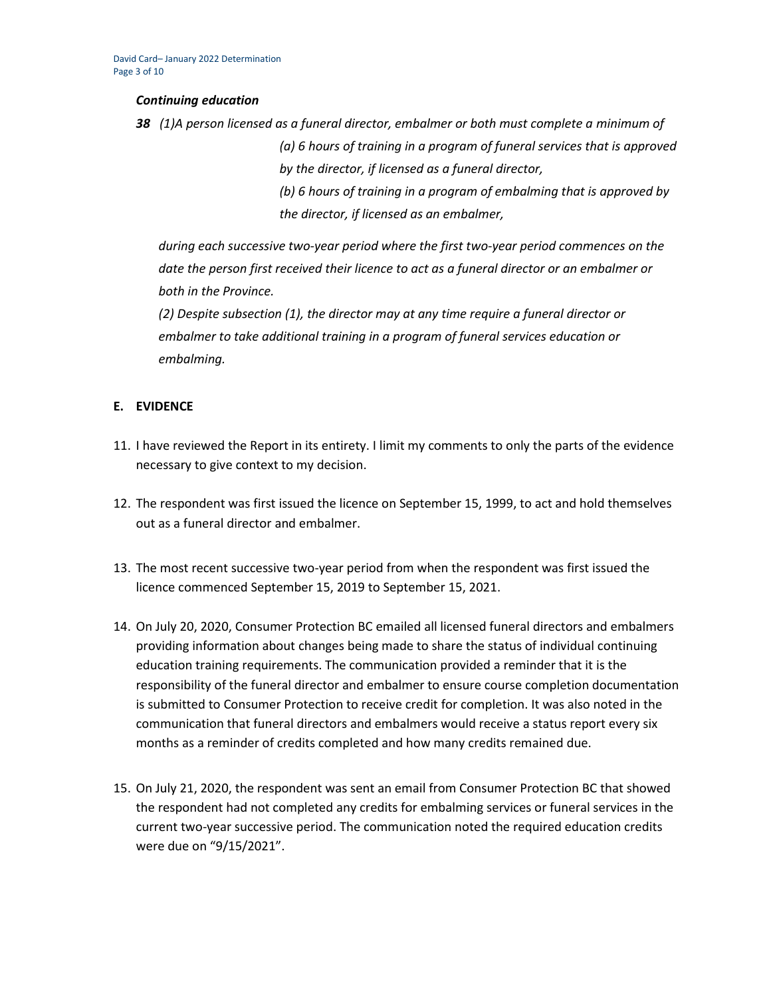#### *Continuing education*

*38 (1)A person licensed as a funeral director, embalmer or both must complete a minimum of (a) 6 hours of training in a program of funeral services that is approved by the director, if licensed as a funeral director, (b) 6 hours of training in a program of embalming that is approved by the director, if licensed as an embalmer,*

*during each successive two-year period where the first two-year period commences on the date the person first received their licence to act as a funeral director or an embalmer or both in the Province.*

*(2) Despite subsection (1), the director may at any time require a funeral director or embalmer to take additional training in a program of funeral services education or embalming.*

#### **E. EVIDENCE**

- 11. I have reviewed the Report in its entirety. I limit my comments to only the parts of the evidence necessary to give context to my decision.
- 12. The respondent was first issued the licence on September 15, 1999, to act and hold themselves out as a funeral director and embalmer.
- 13. The most recent successive two-year period from when the respondent was first issued the licence commenced September 15, 2019 to September 15, 2021.
- 14. On July 20, 2020, Consumer Protection BC emailed all licensed funeral directors and embalmers providing information about changes being made to share the status of individual continuing education training requirements. The communication provided a reminder that it is the responsibility of the funeral director and embalmer to ensure course completion documentation is submitted to Consumer Protection to receive credit for completion. It was also noted in the communication that funeral directors and embalmers would receive a status report every six months as a reminder of credits completed and how many credits remained due.
- 15. On July 21, 2020, the respondent was sent an email from Consumer Protection BC that showed the respondent had not completed any credits for embalming services or funeral services in the current two-year successive period. The communication noted the required education credits were due on "9/15/2021".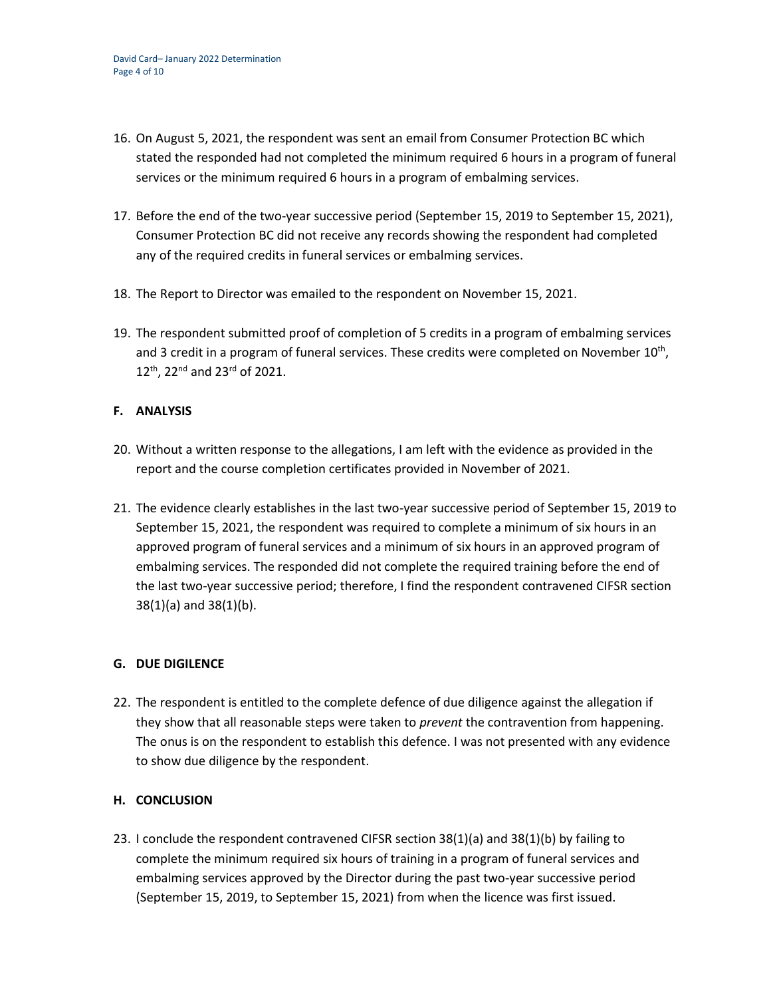- 16. On August 5, 2021, the respondent was sent an email from Consumer Protection BC which stated the responded had not completed the minimum required 6 hours in a program of funeral services or the minimum required 6 hours in a program of embalming services.
- 17. Before the end of the two-year successive period (September 15, 2019 to September 15, 2021), Consumer Protection BC did not receive any records showing the respondent had completed any of the required credits in funeral services or embalming services.
- 18. The Report to Director was emailed to the respondent on November 15, 2021.
- 19. The respondent submitted proof of completion of 5 credits in a program of embalming services and 3 credit in a program of funeral services. These credits were completed on November 10<sup>th</sup>, 12<sup>th</sup>, 22<sup>nd</sup> and 23<sup>rd</sup> of 2021.

### **F. ANALYSIS**

- 20. Without a written response to the allegations, I am left with the evidence as provided in the report and the course completion certificates provided in November of 2021.
- 21. The evidence clearly establishes in the last two-year successive period of September 15, 2019 to September 15, 2021, the respondent was required to complete a minimum of six hours in an approved program of funeral services and a minimum of six hours in an approved program of embalming services. The responded did not complete the required training before the end of the last two-year successive period; therefore, I find the respondent contravened CIFSR section 38(1)(a) and 38(1)(b).

## **G. DUE DIGILENCE**

22. The respondent is entitled to the complete defence of due diligence against the allegation if they show that all reasonable steps were taken to *prevent* the contravention from happening. The onus is on the respondent to establish this defence. I was not presented with any evidence to show due diligence by the respondent.

#### **H. CONCLUSION**

23. I conclude the respondent contravened CIFSR section 38(1)(a) and 38(1)(b) by failing to complete the minimum required six hours of training in a program of funeral services and embalming services approved by the Director during the past two-year successive period (September 15, 2019, to September 15, 2021) from when the licence was first issued.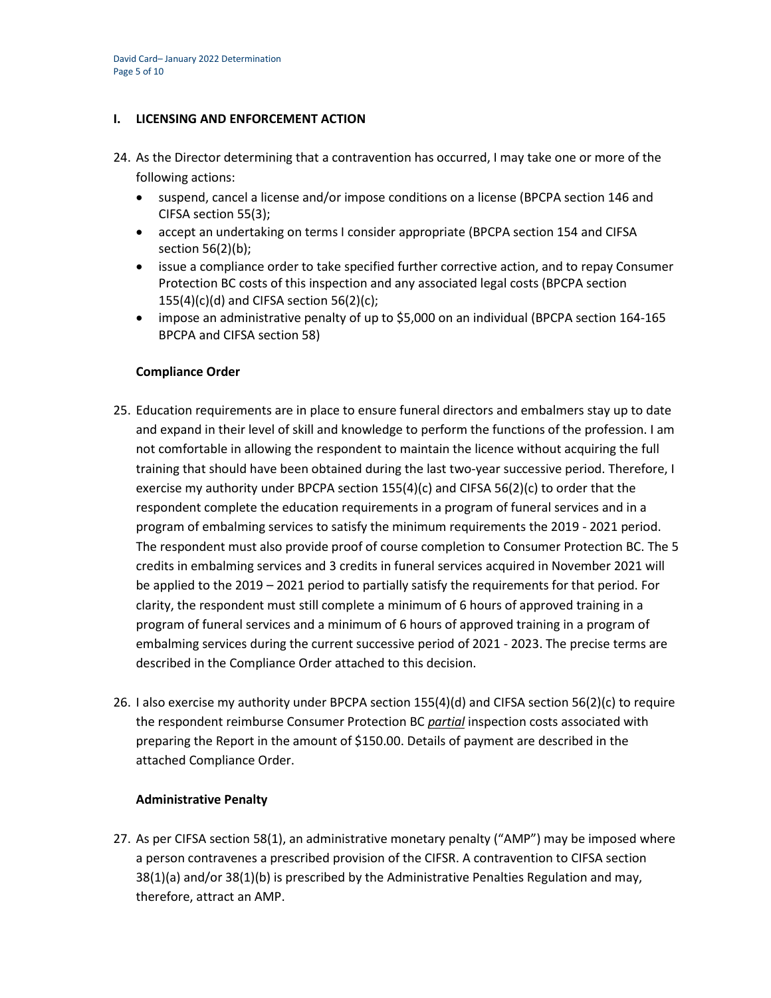#### **I. LICENSING AND ENFORCEMENT ACTION**

- 24. As the Director determining that a contravention has occurred, I may take one or more of the following actions:
	- suspend, cancel a license and/or impose conditions on a license (BPCPA section 146 and CIFSA section 55(3);
	- accept an undertaking on terms I consider appropriate (BPCPA section 154 and CIFSA section 56(2)(b);
	- issue a compliance order to take specified further corrective action, and to repay Consumer Protection BC costs of this inspection and any associated legal costs (BPCPA section  $155(4)(c)(d)$  and CIFSA section 56(2)(c);
	- impose an administrative penalty of up to \$5,000 on an individual (BPCPA section 164-165 BPCPA and CIFSA section 58)

#### **Compliance Order**

- 25. Education requirements are in place to ensure funeral directors and embalmers stay up to date and expand in their level of skill and knowledge to perform the functions of the profession. I am not comfortable in allowing the respondent to maintain the licence without acquiring the full training that should have been obtained during the last two-year successive period. Therefore, I exercise my authority under BPCPA section  $155(4)(c)$  and CIFSA  $56(2)(c)$  to order that the respondent complete the education requirements in a program of funeral services and in a program of embalming services to satisfy the minimum requirements the 2019 - 2021 period. The respondent must also provide proof of course completion to Consumer Protection BC. The 5 credits in embalming services and 3 credits in funeral services acquired in November 2021 will be applied to the 2019 – 2021 period to partially satisfy the requirements for that period. For clarity, the respondent must still complete a minimum of 6 hours of approved training in a program of funeral services and a minimum of 6 hours of approved training in a program of embalming services during the current successive period of 2021 - 2023. The precise terms are described in the Compliance Order attached to this decision.
- 26. I also exercise my authority under BPCPA section 155(4)(d) and CIFSA section 56(2)(c) to require the respondent reimburse Consumer Protection BC *partial* inspection costs associated with preparing the Report in the amount of \$150.00. Details of payment are described in the attached Compliance Order.

#### **Administrative Penalty**

27. As per CIFSA section 58(1), an administrative monetary penalty ("AMP") may be imposed where a person contravenes a prescribed provision of the CIFSR. A contravention to CIFSA section 38(1)(a) and/or 38(1)(b) is prescribed by the Administrative Penalties Regulation and may, therefore, attract an AMP.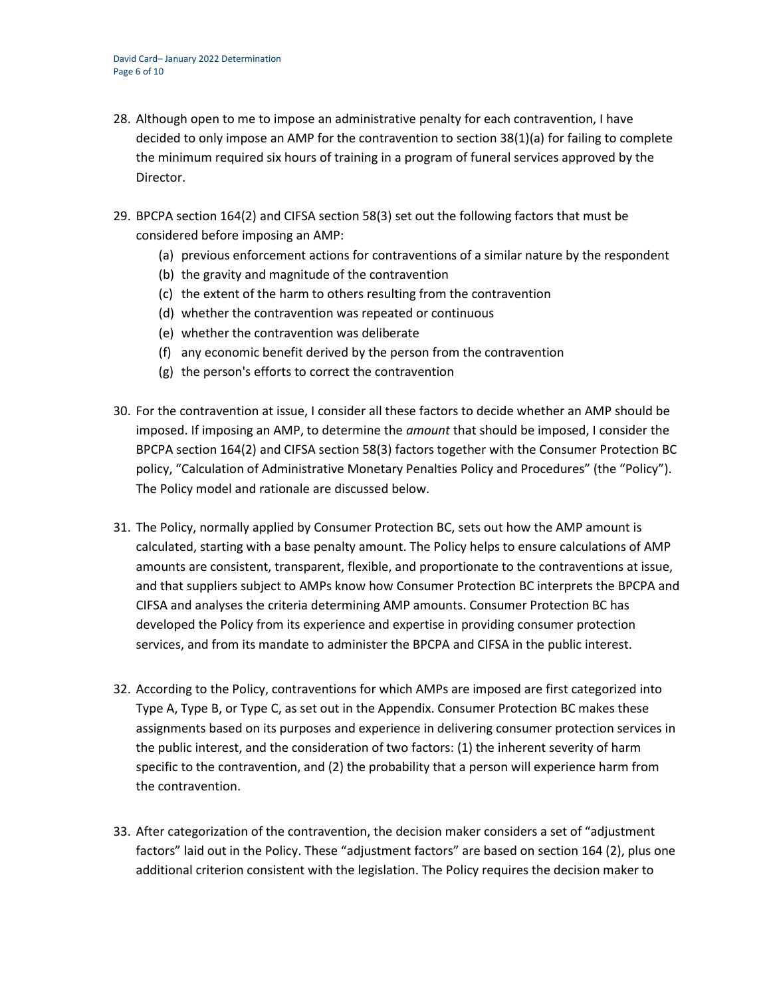- 28. Although open to me to impose an administrative penalty for each contravention, I have decided to only impose an AMP for the contravention to section 38(1)(a) for failing to complete the minimum required six hours of training in a program of funeral services approved by the Director.
- 29. BPCPA section 164(2) and CIFSA section 58(3) set out the following factors that must be considered before imposing an AMP:
	- (a) previous enforcement actions for contraventions of a similar nature by the respondent
	- (b) the gravity and magnitude of the contravention
	- (c) the extent of the harm to others resulting from the contravention
	- (d) whether the contravention was repeated or continuous
	- (e) whether the contravention was deliberate
	- (f) any economic benefit derived by the person from the contravention
	- (g) the person's efforts to correct the contravention
- 30. For the contravention at issue, I consider all these factors to decide whether an AMP should be imposed. If imposing an AMP, to determine the *amount* that should be imposed, I consider the BPCPA section 164(2) and CIFSA section 58(3) factors together with the Consumer Protection BC policy, "Calculation of Administrative Monetary Penalties Policy and Procedures" (the "Policy"). The Policy model and rationale are discussed below.
- 31. The Policy, normally applied by Consumer Protection BC, sets out how the AMP amount is calculated, starting with a base penalty amount. The Policy helps to ensure calculations of AMP amounts are consistent, transparent, flexible, and proportionate to the contraventions at issue, and that suppliers subject to AMPs know how Consumer Protection BC interprets the BPCPA and CIFSA and analyses the criteria determining AMP amounts. Consumer Protection BC has developed the Policy from its experience and expertise in providing consumer protection services, and from its mandate to administer the BPCPA and CIFSA in the public interest.
- 32. According to the Policy, contraventions for which AMPs are imposed are first categorized into Type A, Type B, or Type C, as set out in the Appendix. Consumer Protection BC makes these assignments based on its purposes and experience in delivering consumer protection services in the public interest, and the consideration of two factors: (1) the inherent severity of harm specific to the contravention, and (2) the probability that a person will experience harm from the contravention.
- 33. After categorization of the contravention, the decision maker considers a set of "adjustment factors" laid out in the Policy. These "adjustment factors" are based on section 164 (2), plus one additional criterion consistent with the legislation. The Policy requires the decision maker to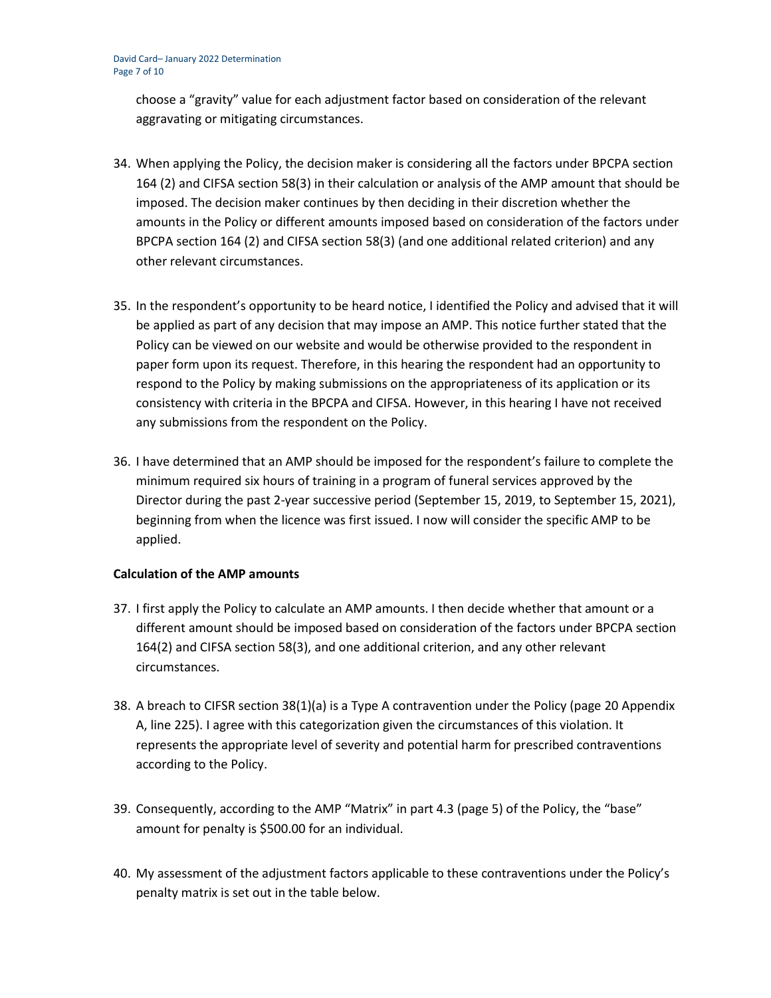choose a "gravity" value for each adjustment factor based on consideration of the relevant aggravating or mitigating circumstances.

- 34. When applying the Policy, the decision maker is considering all the factors under BPCPA section 164 (2) and CIFSA section 58(3) in their calculation or analysis of the AMP amount that should be imposed. The decision maker continues by then deciding in their discretion whether the amounts in the Policy or different amounts imposed based on consideration of the factors under BPCPA section 164 (2) and CIFSA section 58(3) (and one additional related criterion) and any other relevant circumstances.
- 35. In the respondent's opportunity to be heard notice, I identified the Policy and advised that it will be applied as part of any decision that may impose an AMP. This notice further stated that the Policy can be viewed on our website and would be otherwise provided to the respondent in paper form upon its request. Therefore, in this hearing the respondent had an opportunity to respond to the Policy by making submissions on the appropriateness of its application or its consistency with criteria in the BPCPA and CIFSA. However, in this hearing I have not received any submissions from the respondent on the Policy.
- 36. I have determined that an AMP should be imposed for the respondent's failure to complete the minimum required six hours of training in a program of funeral services approved by the Director during the past 2-year successive period (September 15, 2019, to September 15, 2021), beginning from when the licence was first issued. I now will consider the specific AMP to be applied.

#### **Calculation of the AMP amounts**

- 37. I first apply the Policy to calculate an AMP amounts. I then decide whether that amount or a different amount should be imposed based on consideration of the factors under BPCPA section 164(2) and CIFSA section 58(3), and one additional criterion, and any other relevant circumstances.
- 38. A breach to CIFSR section 38(1)(a) is a Type A contravention under the Policy (page 20 Appendix A, line 225). I agree with this categorization given the circumstances of this violation. It represents the appropriate level of severity and potential harm for prescribed contraventions according to the Policy.
- 39. Consequently, according to the AMP "Matrix" in part 4.3 (page 5) of the Policy, the "base" amount for penalty is \$500.00 for an individual.
- 40. My assessment of the adjustment factors applicable to these contraventions under the Policy's penalty matrix is set out in the table below.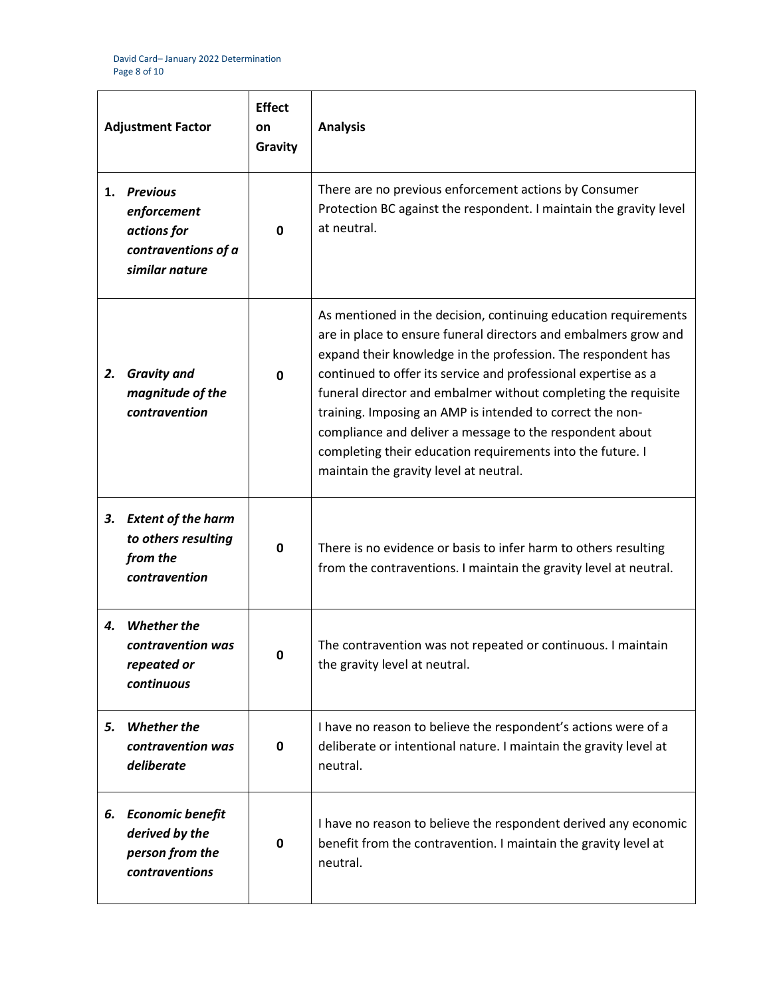| <b>Adjustment Factor</b> |                                                                                        | <b>Effect</b><br>on<br>Gravity | <b>Analysis</b>                                                                                                                                                                                                                                                                                                                                                                                                                                                                                                                                                         |
|--------------------------|----------------------------------------------------------------------------------------|--------------------------------|-------------------------------------------------------------------------------------------------------------------------------------------------------------------------------------------------------------------------------------------------------------------------------------------------------------------------------------------------------------------------------------------------------------------------------------------------------------------------------------------------------------------------------------------------------------------------|
| 1.                       | <b>Previous</b><br>enforcement<br>actions for<br>contraventions of a<br>similar nature | 0                              | There are no previous enforcement actions by Consumer<br>Protection BC against the respondent. I maintain the gravity level<br>at neutral.                                                                                                                                                                                                                                                                                                                                                                                                                              |
| 2.                       | <b>Gravity and</b><br>magnitude of the<br>contravention                                | $\mathbf 0$                    | As mentioned in the decision, continuing education requirements<br>are in place to ensure funeral directors and embalmers grow and<br>expand their knowledge in the profession. The respondent has<br>continued to offer its service and professional expertise as a<br>funeral director and embalmer without completing the requisite<br>training. Imposing an AMP is intended to correct the non-<br>compliance and deliver a message to the respondent about<br>completing their education requirements into the future. I<br>maintain the gravity level at neutral. |
| 3.                       | <b>Extent of the harm</b><br>to others resulting<br>from the<br>contravention          | 0                              | There is no evidence or basis to infer harm to others resulting<br>from the contraventions. I maintain the gravity level at neutral.                                                                                                                                                                                                                                                                                                                                                                                                                                    |
| 4.                       | <b>Whether the</b><br>contravention was<br>repeated or<br>continuous                   | n                              | The contravention was not repeated or continuous. I maintain<br>the gravity level at neutral.                                                                                                                                                                                                                                                                                                                                                                                                                                                                           |
| 5.                       | <b>Whether the</b><br>contravention was<br>deliberate                                  | $\mathbf 0$                    | I have no reason to believe the respondent's actions were of a<br>deliberate or intentional nature. I maintain the gravity level at<br>neutral.                                                                                                                                                                                                                                                                                                                                                                                                                         |
| 6.                       | <b>Economic benefit</b><br>derived by the<br>person from the<br>contraventions         | $\mathbf 0$                    | I have no reason to believe the respondent derived any economic<br>benefit from the contravention. I maintain the gravity level at<br>neutral.                                                                                                                                                                                                                                                                                                                                                                                                                          |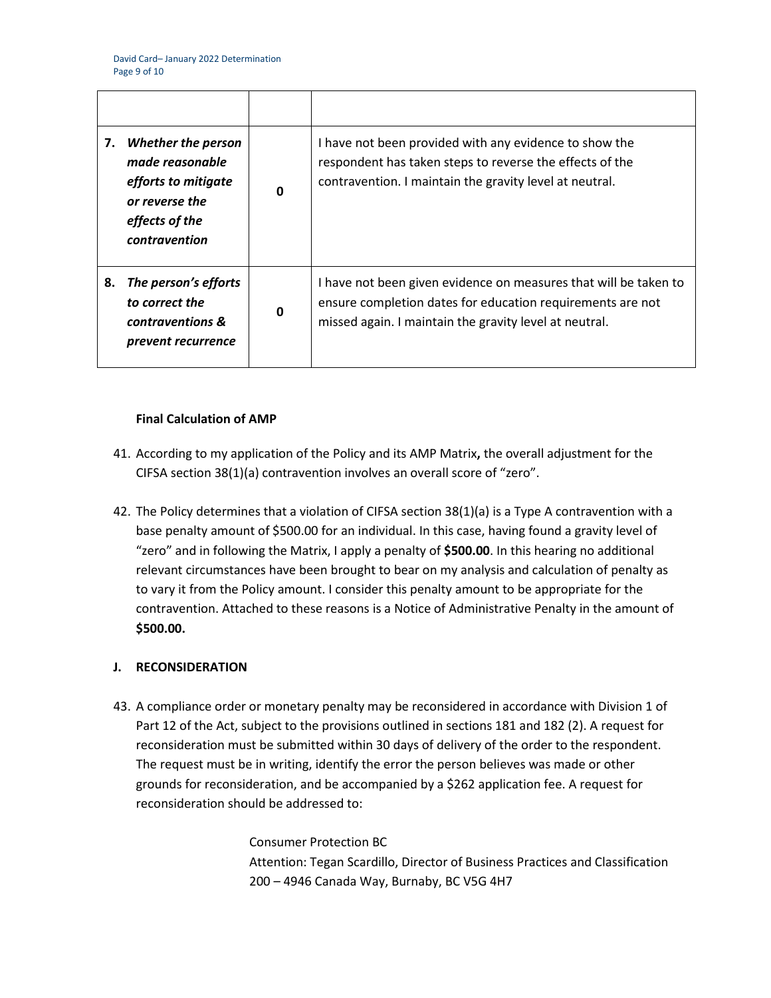| 7. | <b>Whether the person</b><br>made reasonable<br>efforts to mitigate<br>or reverse the<br>effects of the<br>contravention | 0 | I have not been provided with any evidence to show the<br>respondent has taken steps to reverse the effects of the<br>contravention. I maintain the gravity level at neutral.            |
|----|--------------------------------------------------------------------------------------------------------------------------|---|------------------------------------------------------------------------------------------------------------------------------------------------------------------------------------------|
| 8. | The person's efforts<br>to correct the<br>contraventions &<br>prevent recurrence                                         | 0 | I have not been given evidence on measures that will be taken to<br>ensure completion dates for education requirements are not<br>missed again. I maintain the gravity level at neutral. |

#### **Final Calculation of AMP**

- 41. According to my application of the Policy and its AMP Matrix**,** the overall adjustment for the CIFSA section 38(1)(a) contravention involves an overall score of "zero".
- 42. The Policy determines that a violation of CIFSA section 38(1)(a) is a Type A contravention with a base penalty amount of \$500.00 for an individual. In this case, having found a gravity level of "zero" and in following the Matrix, I apply a penalty of **\$500.00**. In this hearing no additional relevant circumstances have been brought to bear on my analysis and calculation of penalty as to vary it from the Policy amount. I consider this penalty amount to be appropriate for the contravention. Attached to these reasons is a Notice of Administrative Penalty in the amount of **\$500.00.**

## **J. RECONSIDERATION**

43. A compliance order or monetary penalty may be reconsidered in accordance with Division 1 of Part 12 of the Act, subject to the provisions outlined in sections 181 and 182 (2). A request for reconsideration must be submitted within 30 days of delivery of the order to the respondent. The request must be in writing, identify the error the person believes was made or other grounds for reconsideration, and be accompanied by a \$262 application fee. A request for reconsideration should be addressed to:

> Consumer Protection BC Attention: Tegan Scardillo, Director of Business Practices and Classification 200 – 4946 Canada Way, Burnaby, BC V5G 4H7